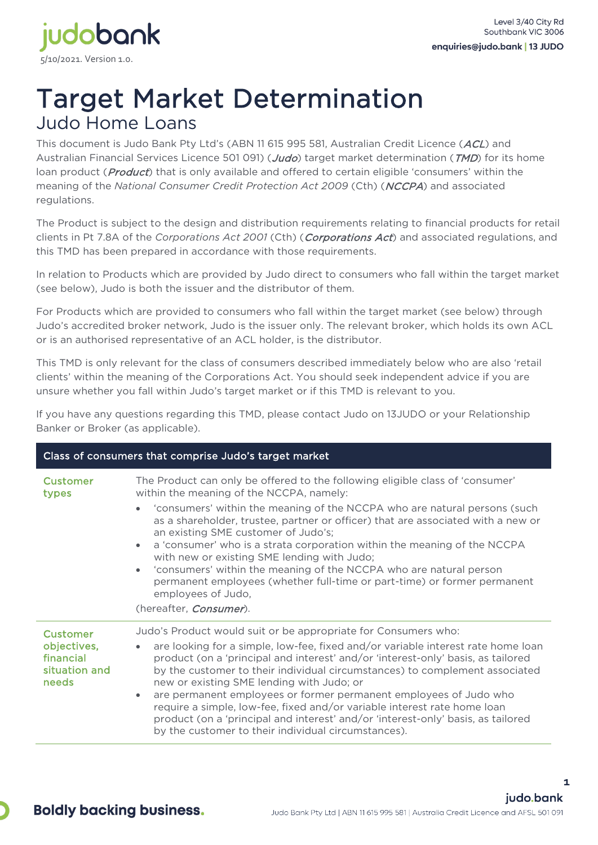

## Target Market Determination Judo Home Loans

This document is Judo Bank Pty Ltd's (ABN 11 615 995 581, Australian Credit Licence (ACL) and Australian Financial Services Licence 501 091) (*Judo*) target market determination (TMD) for its home loan product (*Product*) that is only available and offered to certain eligible 'consumers' within the meaning of the *National Consumer Credit Protection Act 2009* (Cth) (NCCPA) and associated regulations.

The Product is subject to the design and distribution requirements relating to financial products for retail clients in Pt 7.8A of the *Corporations Act 2001* (Cth) (Corporations Act) and associated regulations, and this TMD has been prepared in accordance with those requirements.

In relation to Products which are provided by Judo direct to consumers who fall within the target market (see below), Judo is both the issuer and the distributor of them.

For Products which are provided to consumers who fall within the target market (see below) through Judo's accredited broker network, Judo is the issuer only. The relevant broker, which holds its own ACL or is an authorised representative of an ACL holder, is the distributor.

This TMD is only relevant for the class of consumers described immediately below who are also 'retail clients' within the meaning of the Corporations Act. You should seek independent advice if you are unsure whether you fall within Judo's target market or if this TMD is relevant to you.

If you have any questions regarding this TMD, please contact Judo on 13JUDO or your Relationship Banker or Broker (as applicable).

| Class of consumers that comprise Judo's target market                 |                                                                                                                                                                                                                                                                                                                                                                                                                                                                                                                                                                                                                                                                                                       |  |
|-----------------------------------------------------------------------|-------------------------------------------------------------------------------------------------------------------------------------------------------------------------------------------------------------------------------------------------------------------------------------------------------------------------------------------------------------------------------------------------------------------------------------------------------------------------------------------------------------------------------------------------------------------------------------------------------------------------------------------------------------------------------------------------------|--|
| <b>Customer</b><br>types                                              | The Product can only be offered to the following eligible class of 'consumer'<br>within the meaning of the NCCPA, namely:<br>'consumers' within the meaning of the NCCPA who are natural persons (such<br>$\bullet$<br>as a shareholder, trustee, partner or officer) that are associated with a new or<br>an existing SME customer of Judo's;<br>a 'consumer' who is a strata corporation within the meaning of the NCCPA<br>$\bullet$<br>with new or existing SME lending with Judo;<br>'consumers' within the meaning of the NCCPA who are natural person<br>$\bullet$<br>permanent employees (whether full-time or part-time) or former permanent<br>employees of Judo,<br>(hereafter, Consumer). |  |
| <b>Customer</b><br>objectives,<br>financial<br>situation and<br>needs | Judo's Product would suit or be appropriate for Consumers who:<br>are looking for a simple, low-fee, fixed and/or variable interest rate home loan<br>$\bullet$<br>product (on a 'principal and interest' and/or 'interest-only' basis, as tailored<br>by the customer to their individual circumstances) to complement associated<br>new or existing SME lending with Judo; or<br>are permanent employees or former permanent employees of Judo who<br>$\bullet$<br>require a simple, low-fee, fixed and/or variable interest rate home loan<br>product (on a 'principal and interest' and/or 'interest-only' basis, as tailored<br>by the customer to their individual circumstances).              |  |

**1**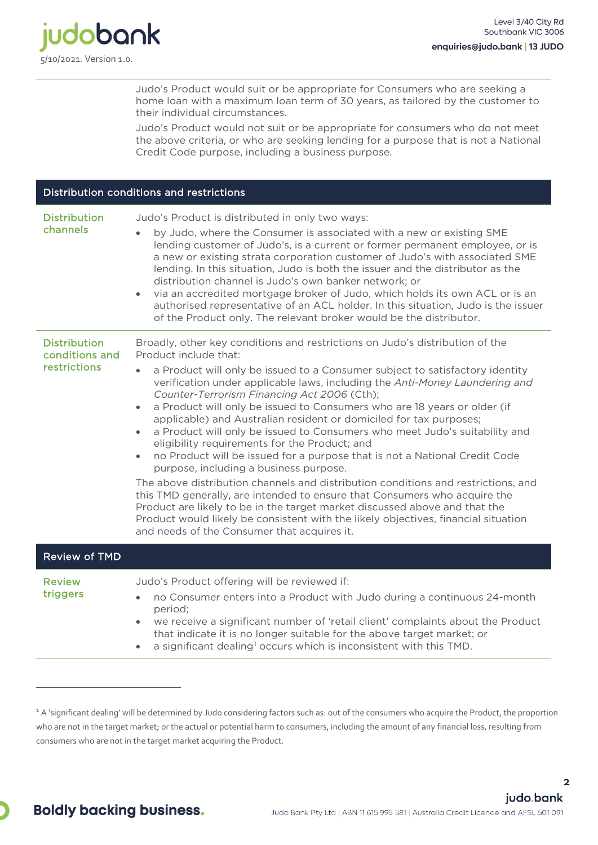

Judo's Product would suit or be appropriate for Consumers who are seeking a home loan with a maximum loan term of 30 years, as tailored by the customer to their individual circumstances.

Judo's Product would not suit or be appropriate for consumers who do not meet the above criteria, or who are seeking lending for a purpose that is not a National Credit Code purpose, including a business purpose.

| Distribution conditions and restrictions              |                                                                                                                                                                                                                                                                                                                                                                                                                                                                                                                                                                                                                                                                                                                                                                                                                                                                                                                                                                                                                                                                                                                                                          |  |
|-------------------------------------------------------|----------------------------------------------------------------------------------------------------------------------------------------------------------------------------------------------------------------------------------------------------------------------------------------------------------------------------------------------------------------------------------------------------------------------------------------------------------------------------------------------------------------------------------------------------------------------------------------------------------------------------------------------------------------------------------------------------------------------------------------------------------------------------------------------------------------------------------------------------------------------------------------------------------------------------------------------------------------------------------------------------------------------------------------------------------------------------------------------------------------------------------------------------------|--|
| <b>Distribution</b><br>channels                       | Judo's Product is distributed in only two ways:<br>by Judo, where the Consumer is associated with a new or existing SME<br>lending customer of Judo's, is a current or former permanent employee, or is<br>a new or existing strata corporation customer of Judo's with associated SME<br>lending. In this situation, Judo is both the issuer and the distributor as the<br>distribution channel is Judo's own banker network; or<br>via an accredited mortgage broker of Judo, which holds its own ACL or is an<br>$\bullet$<br>authorised representative of an ACL holder. In this situation, Judo is the issuer<br>of the Product only. The relevant broker would be the distributor.                                                                                                                                                                                                                                                                                                                                                                                                                                                                 |  |
| <b>Distribution</b><br>conditions and<br>restrictions | Broadly, other key conditions and restrictions on Judo's distribution of the<br>Product include that:<br>a Product will only be issued to a Consumer subject to satisfactory identity<br>verification under applicable laws, including the Anti-Money Laundering and<br>Counter-Terrorism Financing Act 2006 (Cth);<br>a Product will only be issued to Consumers who are 18 years or older (if<br>$\bullet$<br>applicable) and Australian resident or domiciled for tax purposes;<br>a Product will only be issued to Consumers who meet Judo's suitability and<br>$\bullet$<br>eligibility requirements for the Product; and<br>no Product will be issued for a purpose that is not a National Credit Code<br>$\bullet$<br>purpose, including a business purpose.<br>The above distribution channels and distribution conditions and restrictions, and<br>this TMD generally, are intended to ensure that Consumers who acquire the<br>Product are likely to be in the target market discussed above and that the<br>Product would likely be consistent with the likely objectives, financial situation<br>and needs of the Consumer that acquires it. |  |
| <b>Review of TMD</b>                                  |                                                                                                                                                                                                                                                                                                                                                                                                                                                                                                                                                                                                                                                                                                                                                                                                                                                                                                                                                                                                                                                                                                                                                          |  |
| <b>Review</b><br>triggers                             | Judo's Product offering will be reviewed if:<br>no Consumer enters into a Product with Judo during a continuous 24-month<br>$\bullet$<br>period;<br>we receive a significant number of 'retail client' complaints about the Product<br>$\bullet$<br>that indicate it is no longer suitable for the above target market; or<br>a significant dealing <sup>1</sup> occurs which is inconsistent with this TMD.<br>$\bullet$                                                                                                                                                                                                                                                                                                                                                                                                                                                                                                                                                                                                                                                                                                                                |  |

<span id="page-1-0"></span><sup>&</sup>lt;sup>1</sup> A 'significant dealing' will be determined by Judo considering factors such as: out of the consumers who acquire the Product, the proportion who are not in the target market; or the actual or potential harm to consumers, including the amount of any financial loss, resulting from consumers who are not in the target market acquiring the Product.

**2**